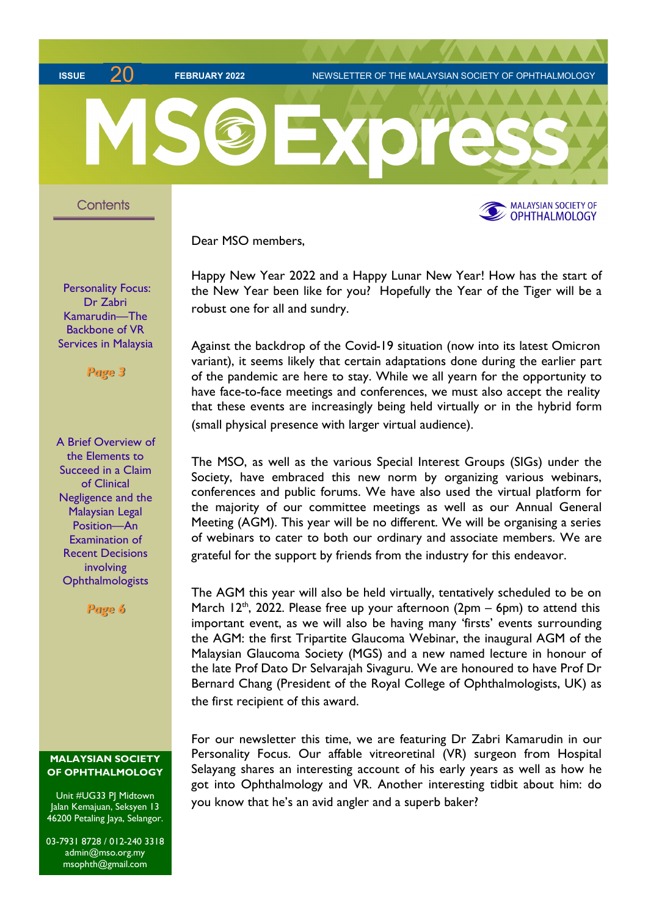ISSUE 71 FEBRUARY 2022 NEWSLETTER OF THE MALAYSIAN SOCIETY OF OPHTHALMOLOGY



Dear MSO members,

Happy New Year 2022 and a Happy Lunar New Year! How has the start of the New Year been like for you? Hopefully the Year of the Tiger will be a robust one for all and sundry.

Against the backdrop of the Covid-19 situation (now into its latest Omicron variant), it seems likely that certain adaptations done during the earlier part of the pandemic are here to stay. While we all yearn for the opportunity to have face-to-face meetings and conferences, we must also accept the reality that these events are increasingly being held virtually or in the hybrid form (small physical presence with larger virtual audience).

The MSO, as well as the various Special Interest Groups (SIGs) under the Society, have embraced this new norm by organizing various webinars, conferences and public forums. We have also used the virtual platform for the majority of our committee meetings as well as our Annual General Meeting (AGM). This year will be no different. We will be organising a series of webinars to cater to both our ordinary and associate members. We are grateful for the support by friends from the industry for this endeavor.

The AGM this year will also be held virtually, tentatively scheduled to be on March 12<sup>th</sup>, 2022. Please free up your afternoon (2pm – 6pm) to attend this important event, as we will also be having many 'firsts' events surrounding the AGM: the first Tripartite Glaucoma Webinar, the inaugural AGM of the Malaysian Glaucoma Society (MGS) and a new named lecture in honour of the late Prof Dato Dr Selvarajah Sivaguru. We are honoured to have Prof Dr Bernard Chang (President of the Royal College of Ophthalmologists, UK) as the first recipient of this award.

For our newsletter this time, we are featuring Dr Zabri Kamarudin in our Personality Focus. Our affable vitreoretinal (VR) surgeon from Hospital Selayang shares an interesting account of his early years as well as how he got into Ophthalmology and VR. Another interesting tidbit about him: do you know that he's an avid angler and a superb baker?

Personality Focus: Dr Zabri Kamarudin—The Backbone of VR Services in Malaysia

Page 3

A Brief Overview of the Elements to Succeed in a Claim of Clinical Negligence and the Malaysian Legal Position—An Examination of Recent Decisions involving **Ophthalmologists** 

Page 6

## MALAYSIAN SOCIETY OF OPHTHALMOLOGY

Unit #UG33 PJ Midtown Jalan Kemajuan, Seksyen 13 46200 Petaling Jaya, Selangor.

03-7931 8728 / 012-240 3318 admin@mso.org.my msophth@gmail.com